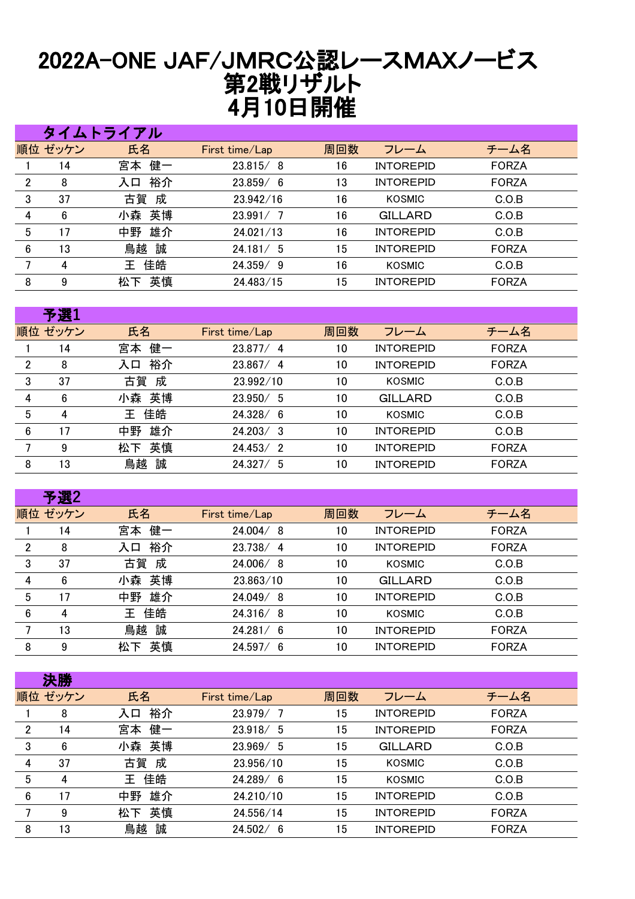## 2022A-ONE JAF/JMRC公認レースMAXノービス 第2戦リザルト 4月10日開催

|                |         | タイムトライアル |                |     |                  |              |
|----------------|---------|----------|----------------|-----|------------------|--------------|
|                | 順位 ゼッケン | 氏名       | First time/Lap | 周回数 | フレーム             | チーム名         |
|                | 14      | 宮本 健一    | 23.815/8       | 16  | <b>INTOREPID</b> | <b>FORZA</b> |
| $\overline{2}$ | 8       | 裕介<br>入口 | 23.859/6       | 13  | <b>INTOREPID</b> | <b>FORZA</b> |
| 3              | 37      | 古賀 成     | 23.942/16      | 16  | KOSMIC           | C.O.B        |
| 4              | 6       | 小森 英博    | 23.991/7       | 16  | <b>GILLARD</b>   | C.O.B        |
| 5              | 17      | 雄介<br>中野 | 24.021/13      | 16  | <b>INTOREPID</b> | C.O.B        |
| 6              | 13      | 鳥越 誠     | 24.181 / 5     | 15  | <b>INTOREPID</b> | <b>FORZA</b> |
|                | 4       | 佳皓<br>王  | 24.359/9       | 16  | KOSMIC           | C.O.B        |
| 8              | 9       | 英慎<br>松下 | 24.483/15      | 15  | <b>INTOREPID</b> | <b>FORZA</b> |

|                | 予選1             |          |                |     |                  |              |
|----------------|-----------------|----------|----------------|-----|------------------|--------------|
|                | 順位 ゼッケン         | 氏名       | First time/Lap | 周回数 | フレーム             | チーム名         |
|                | 14              | 健一<br>宮本 | 23.877/4       | 10  | <b>INTOREPID</b> | <b>FORZA</b> |
| $\overline{2}$ | 8               | 裕介<br>入口 | 23.867/4       | 10  | <b>INTOREPID</b> | <b>FORZA</b> |
| 3              | 37              | 成<br>古賀  | 23.992/10      | 10  | KOSMIC           | C.O.B        |
| 4              | $6\phantom{1}6$ | 英博<br>小森 | 23.950/5       | 10  | <b>GILLARD</b>   | C.O.B        |
| 5              | 4               | 佳皓<br>王  | 24.328/6       | 10  | <b>KOSMIC</b>    | C.O.B        |
| 6              | 17              | 雄介<br>中野 | 24.203 / 3     | 10  | <b>INTOREPID</b> | C.O.B        |
|                | 9               | 英慎<br>松下 | 24.453/2       | 10  | <b>INTOREPID</b> | <b>FORZA</b> |
| 8              | 13              | 誠<br>鳥越  | 24.327/5       | 10  | <b>INTOREPID</b> | <b>FORZA</b> |

| 予選2                 |          |                |     |                  |              |
|---------------------|----------|----------------|-----|------------------|--------------|
| 順位 ゼッケン             | 氏名       | First time/Lap | 周回数 | フレーム             | チーム名         |
| 14                  | 健一<br>宮本 | 24.004/8       | 10  | <b>INTOREPID</b> | <b>FORZA</b> |
| $\overline{2}$<br>8 | 裕介<br>入口 | 23.738/4       | 10  | <b>INTOREPID</b> | <b>FORZA</b> |
| 3<br>37             | 古賀<br>成  | 24.006/8       | 10  | KOSMIC           | C.O.B        |
| 6<br>4              | 英博<br>小森 | 23.863/10      | 10  | GILLARD          | C.O.B        |
| 5<br>17             | 雄介<br>中野 | 24.049/8       | 10  | <b>INTOREPID</b> | C.O.B        |
| 6<br>4              | 佳皓<br>Ŧ. | 24.316/8       | 10  | KOSMIC           | C.O.B        |
| 13                  | 誠<br>鳥越  | 24.281/6       | 10  | <b>INTOREPID</b> | <b>FORZA</b> |
| 9<br>8              | 英慎<br>松下 | 24.597/6       | 10  | <b>INTOREPID</b> | <b>FORZA</b> |
|                     |          |                |     |                  |              |

|   | 決勝              |          |                |     |                  |              |
|---|-----------------|----------|----------------|-----|------------------|--------------|
|   | 順位 ゼッケン         | 氏名       | First time/Lap | 周回数 | フレーム             | チーム名         |
|   | 8               | 裕介<br>入口 | 23.979/        | 15  | <b>INTOREPID</b> | <b>FORZA</b> |
| 2 | 14              | 健一<br>宮本 | 23.918/5       | 15  | <b>INTOREPID</b> | <b>FORZA</b> |
| 3 | $6\phantom{.}6$ | 英博<br>小森 | 23.969/5       | 15  | <b>GILLARD</b>   | C.O.B        |
| 4 | 37              | 古賀<br>成  | 23.956/10      | 15  | KOSMIC           | C.O.B        |
| 5 | 4               | 佳皓<br>王  | 24.289/6       | 15  | KOSMIC           | C.O.B        |
| 6 | 17              | 雄介<br>中野 | 24.210/10      | 15  | <b>INTOREPID</b> | C.O.B        |
|   | 9               | 英慎<br>松下 | 24.556/14      | 15  | <b>INTOREPID</b> | <b>FORZA</b> |
| 8 | 13              | 誠<br>鳥越  | 24.502/6       | 15  | <b>INTOREPID</b> | <b>FORZA</b> |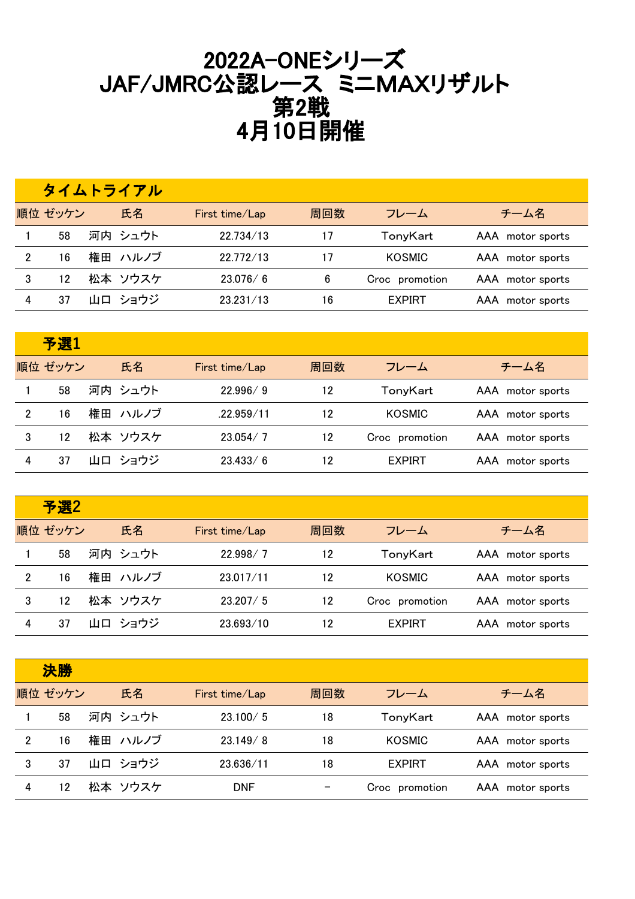## 2022A-ONEシリーズ JAF/JMRC公認レース ミニMAXリザルト 第2戦 4月10日開催

|         | タイムトライアル |                |     |                |                  |
|---------|----------|----------------|-----|----------------|------------------|
| 順位 ゼッケン | 氏名       | First time/Lap | 周回数 | フレーム           | チーム名             |
| 58      | 河内 シュウト  | 22.734/13      | 17  | TonyKart       | AAA motor sports |
| 16      | 権田 ハルノブ  | 22.772/13      | 17  | <b>KOSMIC</b>  | AAA motor sports |
| 12      | 松本 ソウスケ  | 23.076/6       | 6   | Croc promotion | AAA motor sports |
| 37      | 山口 ショウジ  | 23.231/13      | 16  | <b>EXPIRT</b>  | AAA motor sports |

|   | 予選1     |         |                |     |                |                  |
|---|---------|---------|----------------|-----|----------------|------------------|
|   | 順位 ゼッケン | 氏名      | First time/Lap | 周回数 | フレーム           | チーム名             |
|   | 58      | 河内 シュウト | 22.996/9       | 12  | TonyKart       | AAA motor sports |
| 2 | 16      | 権田 ハルノブ | .22.959/11     | 12  | <b>KOSMIC</b>  | AAA motor sports |
| 3 | 12      | 松本 ソウスケ | 23.054/7       | 12  | Croc promotion | AAA motor sports |
| 4 | 37      | 山口 ショウジ | 23.433/6       | 12  | <b>EXPIRT</b>  | AAA motor sports |

|   | 予選2     |         |                |     |                |                  |
|---|---------|---------|----------------|-----|----------------|------------------|
|   | 順位 ゼッケン | 氏名      | First time/Lap | 周回数 | フレーム           | チーム名             |
|   | 58      | 河内 シュウト | 22.998/7       | 12  | TonyKart       | AAA motor sports |
| 2 | 16      | 権田 ハルノブ | 23.017/11      | 12  | <b>KOSMIC</b>  | AAA motor sports |
| 3 | 12      | 松本 ソウスケ | 23.207 / 5     | 12  | Croc promotion | AAA motor sports |
|   | 37      | 山口 ショウジ | 23.693/10      | 12  | <b>EXPIRT</b>  | AAA motor sports |

|                | 決勝      |         |                |     |                |                  |
|----------------|---------|---------|----------------|-----|----------------|------------------|
|                | 順位 ゼッケン | 氏名      | First time/Lap | 周回数 | フレーム           | チーム名             |
|                | 58      | 河内 シュウト | 23.100 / 5     | 18  | TonyKart       | AAA motor sports |
| $\mathfrak{p}$ | 16      | 権田 ハルノブ | 23.149/8       | 18  | KOSMIC         | AAA motor sports |
| 3              | 37      | 山口 ショウジ | 23.636/11      | 18  | <b>EXPIRT</b>  | AAA motor sports |
|                | 12      | 松本 ソウスケ | DNF            |     | Croc promotion | AAA motor sports |